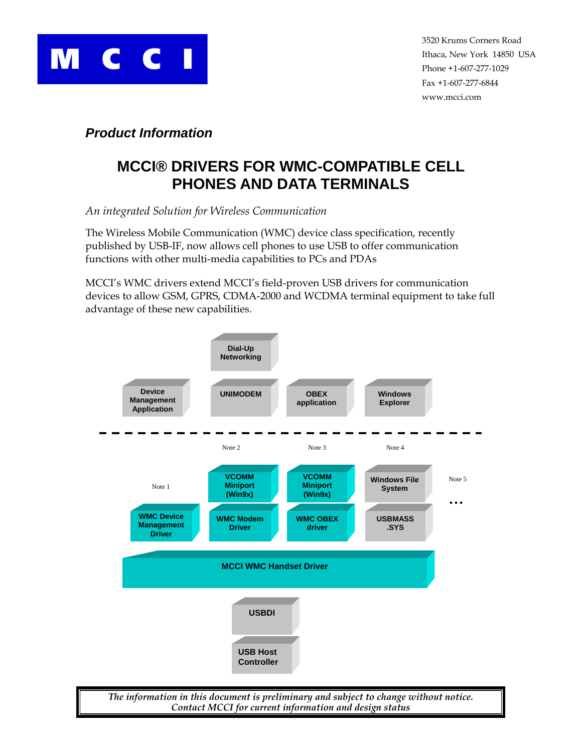

## *Product Information*

# **MCCI® DRIVERS FOR WMC-COMPATIBLE CELL PHONES AND DATA TERMINALS**

*An integrated Solution for Wireless Communication* 

The Wireless Mobile Communication (WMC) device class specification, recently published by USB-IF, now allows cell phones to use USB to offer communication functions with other multi-media capabilities to PCs and PDAs

MCCI's WMC drivers extend MCCI's field-proven USB drivers for communication devices to allow GSM, GPRS, CDMA-2000 and WCDMA terminal equipment to take full advantage of these new capabilities.



*Contact MCCI for current information and design status*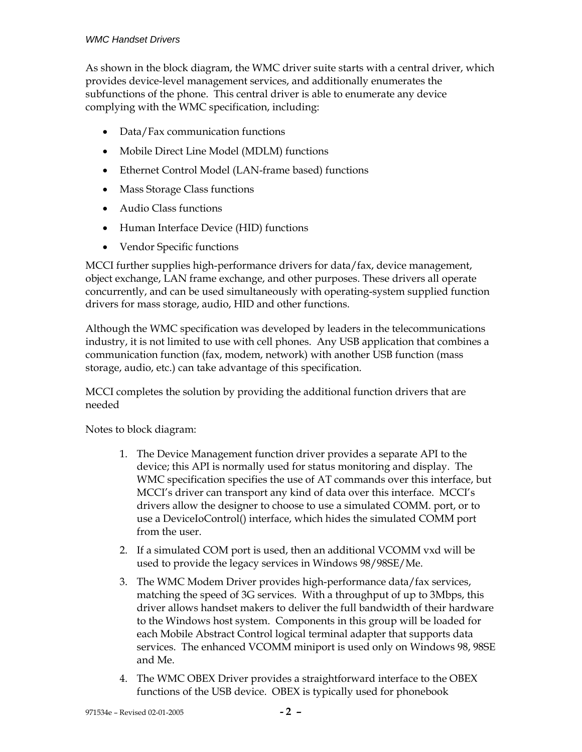#### *WMC Handset Drivers*

As shown in the block diagram, the WMC driver suite starts with a central driver, which provides device-level management services, and additionally enumerates the subfunctions of the phone. This central driver is able to enumerate any device complying with the WMC specification, including:

- Data/Fax communication functions
- Mobile Direct Line Model (MDLM) functions
- Ethernet Control Model (LAN-frame based) functions
- Mass Storage Class functions
- Audio Class functions
- Human Interface Device (HID) functions
- Vendor Specific functions

MCCI further supplies high-performance drivers for data/fax, device management, object exchange, LAN frame exchange, and other purposes. These drivers all operate concurrently, and can be used simultaneously with operating-system supplied function drivers for mass storage, audio, HID and other functions.

Although the WMC specification was developed by leaders in the telecommunications industry, it is not limited to use with cell phones. Any USB application that combines a communication function (fax, modem, network) with another USB function (mass storage, audio, etc.) can take advantage of this specification.

MCCI completes the solution by providing the additional function drivers that are needed

Notes to block diagram:

- 1. The Device Management function driver provides a separate API to the device; this API is normally used for status monitoring and display. The WMC specification specifies the use of AT commands over this interface, but MCCI's driver can transport any kind of data over this interface. MCCI's drivers allow the designer to choose to use a simulated COMM. port, or to use a DeviceIoControl() interface, which hides the simulated COMM port from the user.
- 2. If a simulated COM port is used, then an additional VCOMM vxd will be used to provide the legacy services in Windows 98/98SE/Me.
- 3. The WMC Modem Driver provides high-performance data/fax services, matching the speed of 3G services. With a throughput of up to 3Mbps, this driver allows handset makers to deliver the full bandwidth of their hardware to the Windows host system. Components in this group will be loaded for each Mobile Abstract Control logical terminal adapter that supports data services. The enhanced VCOMM miniport is used only on Windows 98, 98SE and Me.
- 4. The WMC OBEX Driver provides a straightforward interface to the OBEX functions of the USB device. OBEX is typically used for phonebook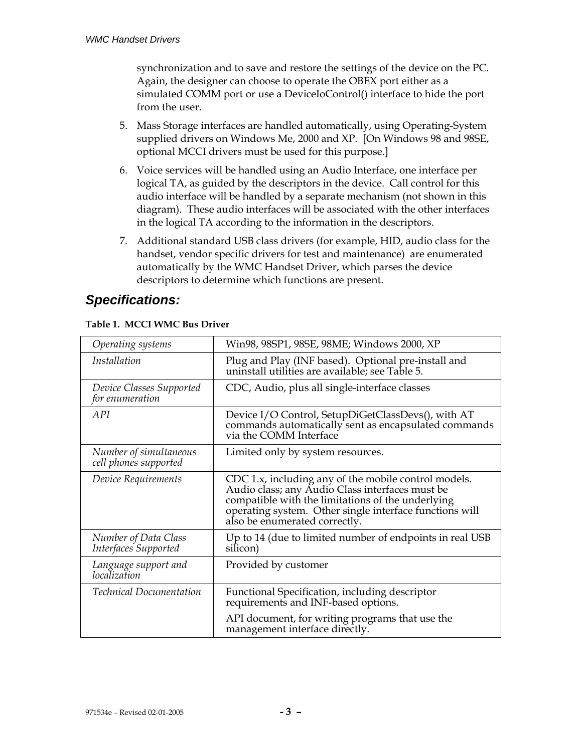synchronization and to save and restore the settings of the device on the PC. Again, the designer can choose to operate the OBEX port either as a simulated COMM port or use a DeviceIoControl() interface to hide the port from the user.

- 5. Mass Storage interfaces are handled automatically, using Operating-System supplied drivers on Windows Me, 2000 and XP. [On Windows 98 and 98SE, optional MCCI drivers must be used for this purpose.]
- 6. Voice services will be handled using an Audio Interface, one interface per logical TA, as guided by the descriptors in the device. Call control for this audio interface will be handled by a separate mechanism (not shown in this diagram). These audio interfaces will be associated with the other interfaces in the logical TA according to the information in the descriptors.
- 7. Additional standard USB class drivers (for example, HID, audio class for the handset, vendor specific drivers for test and maintenance) are enumerated automatically by the WMC Handset Driver, which parses the device descriptors to determine which functions are present.

# *Specifications:*

| Operating systems                                   | Win98, 98SP1, 98SE, 98ME; Windows 2000, XP                                                                                                                                                                                                               |  |
|-----------------------------------------------------|----------------------------------------------------------------------------------------------------------------------------------------------------------------------------------------------------------------------------------------------------------|--|
| <i>Installation</i>                                 | Plug and Play (INF based). Optional pre-install and<br>uninstall utilities are available; see Table 5.                                                                                                                                                   |  |
| Device Classes Supported<br>for enumeration         | CDC, Audio, plus all single-interface classes                                                                                                                                                                                                            |  |
| A PI                                                | Device I/O Control, SetupDiGetClassDevs(), with AT<br>commands automatically sent as encapsulated commands<br>via the COMM Interface                                                                                                                     |  |
| Number of simultaneous<br>cell phones supported     | Limited only by system resources.                                                                                                                                                                                                                        |  |
| Device Requirements                                 | CDC 1.x, including any of the mobile control models.<br>Audio class; any Audio Class interfaces must be<br>compatible with the limitations of the underlying<br>operating system. Other single interface functions will<br>also be enumerated correctly. |  |
| <b>Number of Data Class</b><br>Interfaces Supported | Up to 14 (due to limited number of endpoints in real USB<br>silicon)                                                                                                                                                                                     |  |
| Language support and<br>localization                | Provided by customer                                                                                                                                                                                                                                     |  |
| <b>Technical Documentation</b>                      | Functional Specification, including descriptor<br>requirements and INF-based options.                                                                                                                                                                    |  |
|                                                     | API document, for writing programs that use the<br>management interface directly.                                                                                                                                                                        |  |

#### **Table 1. MCCI WMC Bus Driver**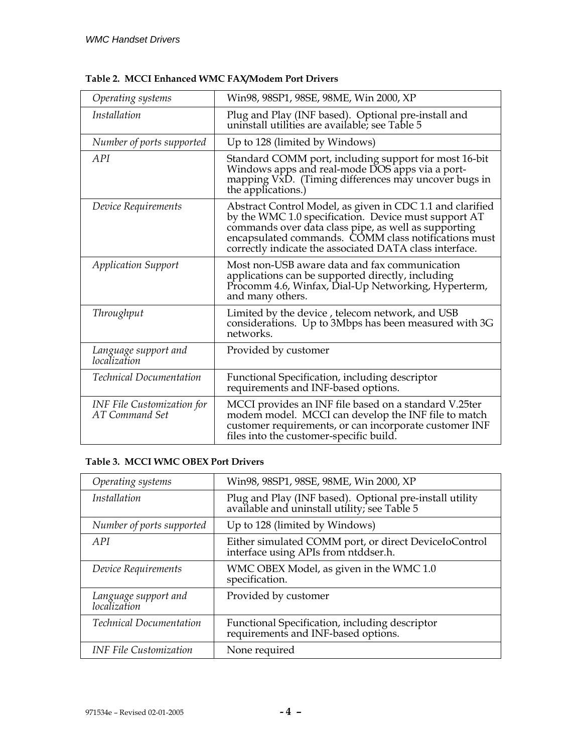| Operating systems                                          | Win98, 98SP1, 98SE, 98ME, Win 2000, XP                                                                                                                                                                                                                                                       |  |
|------------------------------------------------------------|----------------------------------------------------------------------------------------------------------------------------------------------------------------------------------------------------------------------------------------------------------------------------------------------|--|
| <i>Installation</i>                                        | Plug and Play (INF based). Optional pre-install and<br>uninstall utilities are available; see Table 5                                                                                                                                                                                        |  |
| Number of ports supported                                  | Up to 128 (limited by Windows)                                                                                                                                                                                                                                                               |  |
| A PI                                                       | Standard COMM port, including support for most 16-bit<br>Windows apps and real-mode DOS apps via a port-<br>mapping VxD. (Timing differences may uncover bugs in<br>the applications.)                                                                                                       |  |
| Device Requirements                                        | Abstract Control Model, as given in CDC 1.1 and clarified<br>by the WMC 1.0 specification. Device must support AT<br>commands over data class pipe, as well as supporting<br>encapsulated commands. COMM class notifications must<br>correctly indicate the associated DATA class interface. |  |
| <b>Application Support</b>                                 | Most non-USB aware data and fax communication<br>applications can be supported directly, including<br>Procomm 4.6, Winfax, Dial-Up Networking, Hyperterm,<br>and many others.                                                                                                                |  |
| <b>Throughput</b>                                          | Limited by the device, telecom network, and USB<br>considerations. Up to 3Mbps has been measured with 3G<br>networks.                                                                                                                                                                        |  |
| Language support and<br>localization                       | Provided by customer                                                                                                                                                                                                                                                                         |  |
| <b>Technical Documentation</b>                             | Functional Specification, including descriptor<br>requirements and INF-based options.                                                                                                                                                                                                        |  |
| <b>INF</b> File Customization for<br><b>AT Command Set</b> | MCCI provides an INF file based on a standard V.25ter<br>modem model. MCCI can develop the INF file to match<br>customer requirements, or can incorporate customer INF<br>files into the customer-specific build.                                                                            |  |

### **Table 3. MCCI WMC OBEX Port Drivers**

| Operating systems                    | Win98, 98SP1, 98SE, 98ME, Win 2000, XP                                                               |
|--------------------------------------|------------------------------------------------------------------------------------------------------|
| <i>Installation</i>                  | Plug and Play (INF based). Optional pre-install utility available and uninstall utility; see Table 5 |
| Number of ports supported            | Up to 128 (limited by Windows)                                                                       |
| A PI                                 | Either simulated COMM port, or direct DeviceIoControl<br>interface using APIs from ntddser.h.        |
| Device Requirements                  | WMC OBEX Model, as given in the WMC 1.0<br>specification.                                            |
| Language support and<br>localization | Provided by customer                                                                                 |
| <b>Technical Documentation</b>       | Functional Specification, including descriptor<br>requirements and INF-based options.                |
| <b>INF File Customization</b>        | None required                                                                                        |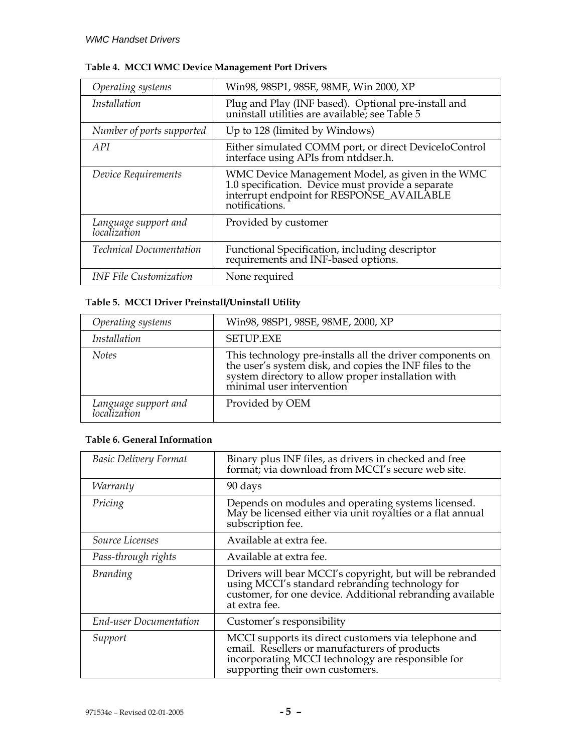| Operating systems                    | Win98, 98SP1, 98SE, 98ME, Win 2000, XP                                                                                                                               |  |
|--------------------------------------|----------------------------------------------------------------------------------------------------------------------------------------------------------------------|--|
| Installation                         | Plug and Play (INF based). Optional pre-install and<br>uninstall utilities are available; see Table 5                                                                |  |
| Number of ports supported            | Up to 128 (limited by Windows)                                                                                                                                       |  |
| A PI                                 | Either simulated COMM port, or direct DeviceIoControl<br>interface using APIs from ntddser.h.                                                                        |  |
| Device Requirements                  | WMC Device Management Model, as given in the WMC<br>1.0 specification. Device must provide a separate<br>interrupt endpoint for RESPONSE_AVAILABLE<br>notifications. |  |
| Language support and<br>localization | Provided by customer                                                                                                                                                 |  |
| <b>Technical Documentation</b>       | Functional Specification, including descriptor<br>requirements and INF-based options.                                                                                |  |
| <b>INF File Customization</b>        | None required                                                                                                                                                        |  |

### **Table 4. MCCI WMC Device Management Port Drivers**

### <span id="page-4-0"></span>**Table 5. MCCI Driver Preinstall/Uninstall Utility**

| Operating systems                    | Win98, 98SP1, 98SE, 98ME, 2000, XP                                                                                                                                                                      |
|--------------------------------------|---------------------------------------------------------------------------------------------------------------------------------------------------------------------------------------------------------|
| <i>Installation</i>                  | <b>SETUP.EXE</b>                                                                                                                                                                                        |
| <b>Notes</b>                         | This technology pre-installs all the driver components on<br>the user's system disk, and copies the INF files to the<br>system directory to allow proper installation with<br>minimal user intervention |
| Language support and<br>localization | Provided by OEM                                                                                                                                                                                         |

#### **Table 6. General Information**

| <b>Basic Delivery Format</b>  | Binary plus INF files, as drivers in checked and free<br>format; via download from MCCI's secure web site.                                                                                    |  |
|-------------------------------|-----------------------------------------------------------------------------------------------------------------------------------------------------------------------------------------------|--|
| <i>Warranty</i>               | 90 days                                                                                                                                                                                       |  |
| Pricing                       | Depends on modules and operating systems licensed.<br>May be licensed either via unit royalties or a flat annual<br>subscription fee.                                                         |  |
| <i>Source Licenses</i>        | Available at extra fee.                                                                                                                                                                       |  |
| Pass-through rights           | Available at extra fee.                                                                                                                                                                       |  |
| <b>Branding</b>               | Drivers will bear MCCI's copyright, but will be rebranded<br>using MCCI's standard rebranding technology for<br>customer, for one device. Additional rebranding available<br>at extra fee.    |  |
| <b>End-user Documentation</b> | Customer's responsibility                                                                                                                                                                     |  |
| Support                       | MCCI supports its direct customers via telephone and<br>email. Resellers or manufacturers of products<br>incorporating MCCI technology are responsible for<br>supporting their own customers. |  |